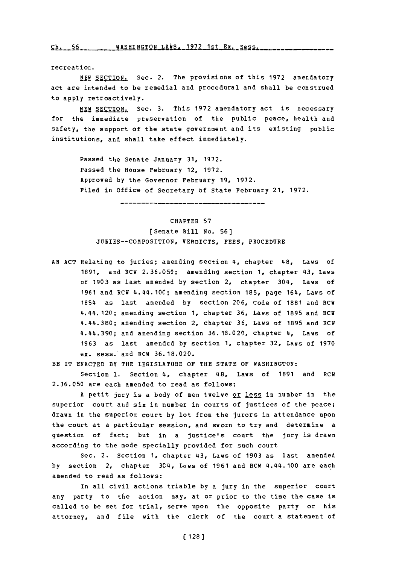**(~h~** '~ rh- *r A* WASHINGTON T.AiJq **- 1 Q7 9 lc:+** P.Y- RP **c; A -**

recreation.

**NEW** SECTION. Sec. 2. The provisions of this **1972** amendatory act are intended to be remedial and procedural and shall be construed to apply retroactively.

**NEW SECTION.** Sec. 3. This 1972 amendatory act is necessary for the immediate preservation of the public peace, health and safety, the support of the state government and its existing public institutions, and shall take effect immediately.

Passed the Senate January **31, 1972.** Passed the House February 12, **1972.** Approved **by** the Governor February **19, 1972.** Filed in office of Secretary **of** State February 21, **1972.**

## CHAPTER **57**

[Senate Bill No. **56]** JURIES--COMPOSITION, VERDICTS, FEES, PROCEDURE

**AN ACT** Relating to juries; amending section 4, chapter 48, Laws of **1891,** and RCW **2.36.050;** amending section **1,** chapter 43, Laws of **1903** as last amended **by** section 2, chapter 304, Laws of **1961** and RCW 4.44.100; amending section **185,** page 164, Laws of 1854 as last amended **by** section **206,** Code of **1881** and RCW 4. 44. 120; amending section **1,** chapter **36,** Laws of **1895** and RCW 4.44.380; amending section 2, chapter **36,** Laws of **1895** and RCW 4.44.390; and amending section 36.18.020, chapter 4, Laws of **1963** as last amended **by** section **1,** chapter **32,** Laws of **1970** ex. sess.\*and RCW **36.18.020.**

BE IT **ENACTED** BY THE **LEGISLATURE** OF THE **STATE** OF WASHINGTON:

Section **1.** Section 4, chapter 48, Laws of **1891** and RCW **2.36.050** are each amended to read as follows:

A petit jury is a body of men twelve or less in number in the superior court and six in number in courts of justices of the peace; drawn in the superior court **by** lot from the jurors in attendance upon the court at a particular session, and sworn to try and determine a question of fact; but in a justice's court the jury is drawn according to the mode specially provided for such court

Sec. 2. Section **1,** chapter 43, Laws of **1903** as last amended **by** section 2, chapter 3C4, Laws of **1961** and RCW 4.44. 100 are each amended to read as follows:

In all civil actions triable **by** a jury in the superior court any party to the action may, at or prior to the time the case is called to be set for trial, serve upon the opposite party or his attorney, and file with the clerk of the court a statement of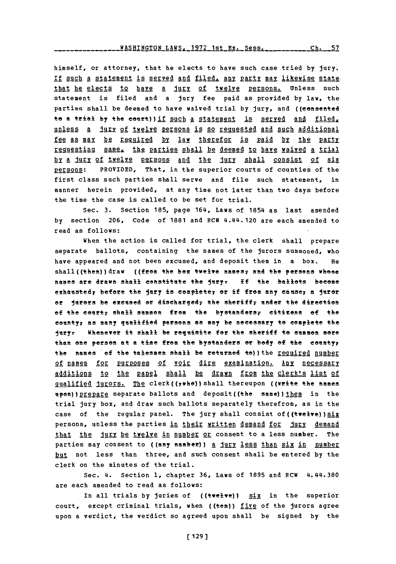himself, or attorney, that he elects to have such case tried **by** jury. If such a statement is served and filed, any party may likewise state. that he elects to have a jury of twelve persons. Unless such statement is filed and a jury fee paid as provided **by** law, the parties shall be deemed to have waived trial **by** jury, and ((consented to a trial by the court)) if such a statement is served and filed, unless a jury of twelve persons is so requested and such additional fee as may be required by law therefor is paid by the party requesting same, the parties shall be deemed to have waived a trial hy a jury of twelye persons and the jury shall consist of six persons: PROVIDED, That, in the superior courts of counties of the first class such parties shall serve and file such statement, in manner herein provided, at any time not later than two days before the time the case is called to be set for trial.

Sec. **3.** Section **185,** page 164, Laws of 1854 as last amended **by** section **206,** Code of **1881** and RCW 4.44.120 are each amended to read as follows:

When the action is called for trial, the clerk shall prepare separate ballots, containing the names of the jurors summoned, who have appeared and not been excused, and deposit them in a box. He shall((then))draw ((from the box twelve names<sub>7</sub> and the persons whose mames are drawn shall constitate the ieryr **If** the ballets become exhatstedy before the jury is cemplete7 or if from **any** caese7 **a** Juror or jurors be excused or discharged, the sheriff, under the direction of the court; shall summon from the bystanders; citizens of the entyy as many qualified persons as may be neceessary to complete the jury. Whenever it shall be requisite for the sheriff to summon more than one person at a time from the bystanders or body of the county<sub>7</sub> the names of the talesmen shall be returned to) ) the required number of names for purposes of voir dire examination. Any necessary additions to the panel shall be drawn from the clerk's list of gualified jurors. The clerk((7whe))shall thereupon ((write the names upon)) prepare separate ballots and deposit((the same)) them in the trial jury box, and draw such ballots separately therefrom, as in the case of the regular panel. The jury shall consist of ((twelve)) six persons, unless the parties in their written demand for jury demand that the jury be twelve in number or consent to a less number. The parties may consent to ((any number)) a jury less than six in number but not less than three, and such consent shall be entered **by** the clerk on the minutes of the trial.

Sec. 4. Section **1,** chapter **36,** Laws of **1895** and ECH 4.44.380 are each amended to read as follows:

In all trials by juries of ((twelve)) **Six** in the superior court, except criminal trials, when ((ten))  $\underline{f_ig_0}$  of the jurors agree upon a verdict, the verdict so agreed upon shall be signed **by** the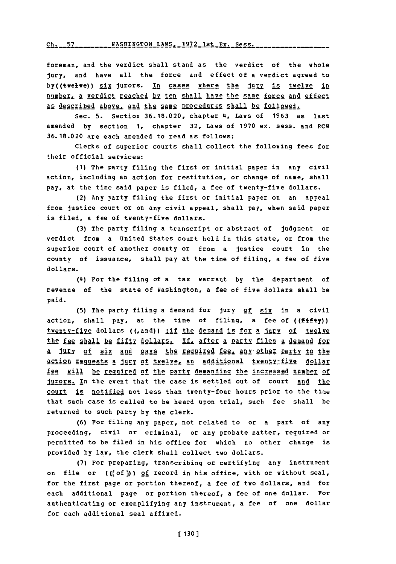Ch. 57 \_\_\_\_\_\_\_ WASHINGTON LAWS, 1972 1st Ex. Sess.

foreman, and the verdict shall stand as the verdict of the whole jury, and have all the force and effect of a verdict agreed to by((twelve)) six jurors. In cases where the jury is twelve in number, a verdict reached by ten shall have the same force and effect as described above, and the same procedures shall be followed.

Sec. **5.** Section **36.18.020,** chapter 4, Laws of **1963** as last amended **by** section **1,** chapter **32,** Laws of **1970** ex. sess. and RCW **36.18.020** are each amended to read as follows:

Clerks of superior courts shall collect the following fees for their official services:

**(1)** The party filing the first or initial paper in any civil action, including an action for restitution, or change of name, shall pay, at the time said paper is filed, a fee of twenty-five dollars.

(2) Any party filing the first or initial paper on an appeal from justice court or on any civil appeal, shall pay, when said paper is filed, a fee of twenty-five dollars.

**(3)** The party filing a transcript or abstract of judgment or verdict from a United States court held in this state, or from the superior court of another county or from a justice court in the county of issuance, shall pay at the time of filing, a fee of five dollars.

(£4) For the filing of a tax warrant **by** the department of revenue of the state of Washington, a fee of five dollars shall be paid.

**(5)** The party filing a demand for jury of six in a civil action, shall pay, at the time of filing, a fee of ( $(fiff(y))$ ) twenty-five dollars ((,and)) iif the demand is for a jury of twelve the fee shall be fifty dollars. If, after a party files a demand for a jury of six and pays the required fee, any other party to the action requests a jury of twelve, an additional twenty-five dollar fee will be required of the party demanding the increased number of jurors. In the event that the case is settled out of court and the court is notified not less than twenty-four hours prior to the time that such case is called to be heard upon trial, such fee shall be returned to such party **by** the clerk.

**(6)** For filing any paper, not related to or a part of any proceeding, civil or criminal, or any probate matter, required or permitted to be filed in his office for which no other charge is provided **by** law, the clerk shall collect two dollars.

**(7)** For preparing, transcribing or certifying any instrument on file or  $((of))$  of record in his office, with or without seal, for the first page or portion thereof, a fee of two dollars, and for each additional page or portion thereof, a fee of one dollar. For authenticating or exemplifying any instrument, a fee of one dollar for each additional seal affixed.